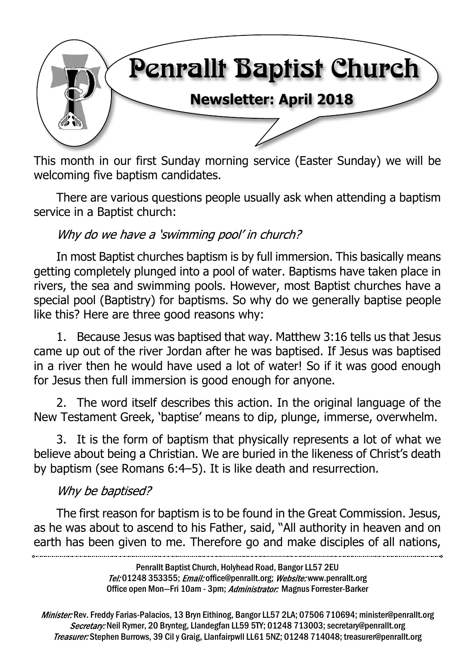

This month in our first Sunday morning service (Easter Sunday) we will be welcoming five baptism candidates.

There are various questions people usually ask when attending a baptism service in a Baptist church:

#### Why do we have a 'swimming pool' in church?

In most Baptist churches baptism is by full immersion. This basically means getting completely plunged into a pool of water. Baptisms have taken place in rivers, the sea and swimming pools. However, most Baptist churches have a special pool (Baptistry) for baptisms. So why do we generally baptise people like this? Here are three good reasons why:

1. Because Jesus was baptised that way. Matthew 3:16 tells us that Jesus came up out of the river Jordan after he was baptised. If Jesus was baptised in a river then he would have used a lot of water! So if it was good enough for Jesus then full immersion is good enough for anyone.

2. The word itself describes this action. In the original language of the New Testament Greek, 'baptise' means to dip, plunge, immerse, overwhelm.

3. It is the form of baptism that physically represents a lot of what we believe about being a Christian. We are buried in the likeness of Christ's death by baptism (see Romans 6:4–5). It is like death and resurrection.

#### Why be baptised?

The first reason for baptism is to be found in the Great Commission. Jesus, as he was about to ascend to his Father, said, "All authority in heaven and on earth has been given to me. Therefore go and make disciples of all nations,

> Penrallt Baptist Church, Holyhead Road, Bangor LL57 2EU Tel:01248 353355; Email: office@penrallt.org; Website: www.penrallt.org Office open Mon-Fri 10am - 3pm; Administrator: Magnus Forrester-Barker

Minister: Rev. Freddy Farias-Palacios, 13 Bryn Eithinog, Bangor LL57 2LA; 07506 710694; minister@penrallt.org Secretary: Neil Rymer, 20 Brynteg, Llandegfan LL59 5TY; 01248 713003; secretary@penrallt.org Treasurer: Stephen Burrows, 39 Cil y Graig, Llanfairpwll LL61 5NZ; 01248 714048; treasurer@penrallt.org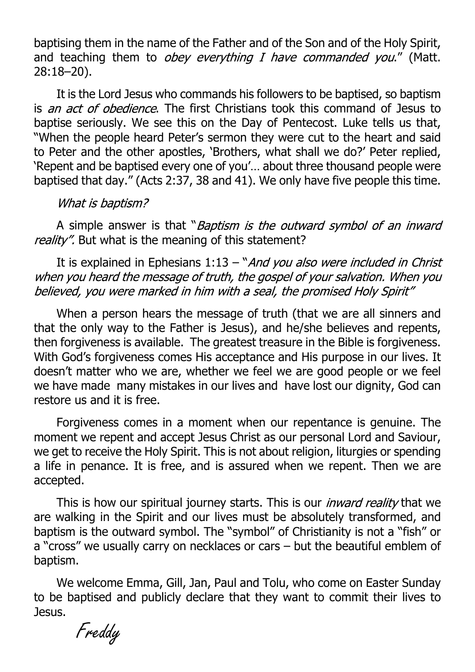baptising them in the name of the Father and of the Son and of the Holy Spirit, and teaching them to  $obey$  everything I have commanded you." (Matt. 28:18–20).

It is the Lord Jesus who commands his followers to be baptised, so baptism is *an act of obedience*. The first Christians took this command of Jesus to baptise seriously. We see this on the Day of Pentecost. Luke tells us that, "When the people heard Peter's sermon they were cut to the heart and said to Peter and the other apostles, 'Brothers, what shall we do?' Peter replied, 'Repent and be baptised every one of you'… about three thousand people were baptised that day." (Acts 2:37, 38 and 41). We only have five people this time.

#### What is baptism?

A simple answer is that "Baptism is the outward symbol of an inward reality". But what is the meaning of this statement?

It is explained in Ephesians  $1:13 - "And you also were included in Christ$ when you heard the message of truth, the gospel of your salvation. When you believed, you were marked in him with a seal, the promised Holy Spirit"

When a person hears the message of truth (that we are all sinners and that the only way to the Father is Jesus), and he/she believes and repents, then forgiveness is available. The greatest treasure in the Bible is forgiveness. With God's forgiveness comes His acceptance and His purpose in our lives. It doesn't matter who we are, whether we feel we are good people or we feel we have made many mistakes in our lives and have lost our dignity, God can restore us and it is free.

Forgiveness comes in a moment when our repentance is genuine. The moment we repent and accept Jesus Christ as our personal Lord and Saviour, we get to receive the Holy Spirit. This is not about religion, liturgies or spending a life in penance. It is free, and is assured when we repent. Then we are accepted.

This is how our spiritual journey starts. This is our *inward reality* that we are walking in the Spirit and our lives must be absolutely transformed, and baptism is the outward symbol. The "symbol" of Christianity is not a "fish" or a "cross" we usually carry on necklaces or cars – but the beautiful emblem of baptism.

We welcome Emma, Gill, Jan, Paul and Tolu, who come on Easter Sunday to be baptised and publicly declare that they want to commit their lives to Jesus.

Freddy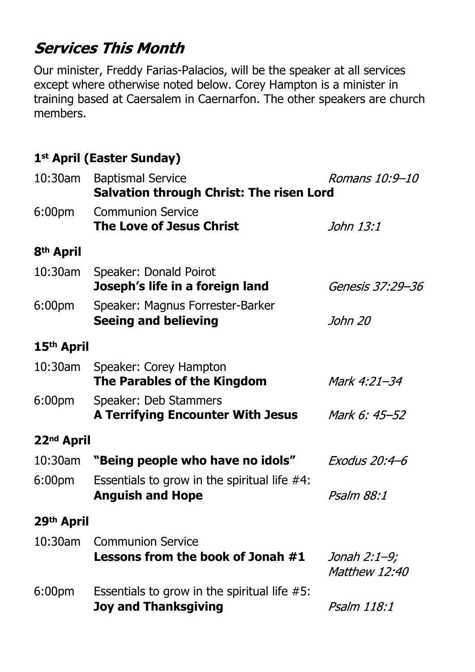# **Services This Month**

Our minister, Freddy Farias-Palacios, will be the speaker at all services except where otherwise noted below. Corey Hampton is a minister in training based at Caersalem in Caernarfon. The other speakers are church members.

## **1st April (Easter Sunday)**

| 10:30am                | <b>Baptismal Service</b><br>Romans 10:9-10<br><b>Salvation through Christ: The risen Lord</b> |                               |
|------------------------|-----------------------------------------------------------------------------------------------|-------------------------------|
| 6:00 <sub>pm</sub>     | <b>Communion Service</b><br><b>The Love of Jesus Christ</b>                                   | John 13:1                     |
| 8 <sup>th</sup> April  |                                                                                               |                               |
| 10:30am                | Speaker: Donald Poirot<br>Joseph's life in a foreign land                                     | Genesis 37:29–36              |
| 6:00 <sub>pm</sub>     | Speaker: Magnus Forrester-Barker<br><b>Seeing and believing</b>                               | John 20                       |
| 15 <sup>th</sup> April |                                                                                               |                               |
|                        | 10:30am Speaker: Corey Hampton<br>The Parables of the Kingdom                                 | Mark 4:21-34                  |
| 6:00 <sub>pm</sub>     | Speaker: Deb Stammers<br><b>A Terrifying Encounter With Jesus</b>                             | Mark 6: 45–52                 |
| 22 <sup>nd</sup> April |                                                                                               |                               |
| $10:30$ am             | "Being people who have no idols"                                                              | <i>Exodus 20:4–6</i>          |
| 6:00 <sub>pm</sub>     | Essentials to grow in the spiritual life $#4$ :<br><b>Anguish and Hope</b>                    | <i>Psalm 88:1</i>             |
| 29th April             |                                                                                               |                               |
| $10:30$ am             | <b>Communion Service</b><br>Lessons from the book of Jonah #1                                 | Jonah 2:1–9;<br>Matthew 12:40 |
| 6:00 <sub>pm</sub>     | Essentials to grow in the spiritual life $#5$ :<br><b>Joy and Thanksgiving</b>                | <i>Psalm 118:1</i>            |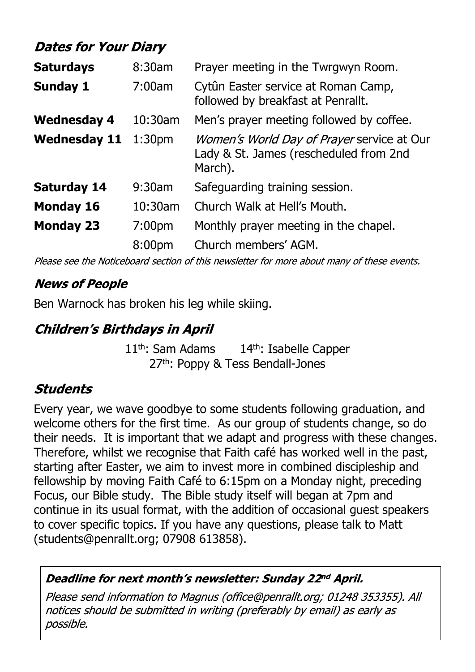## **Dates for Your Diary**

| <b>Saturdays</b>    | 8:30am             | Prayer meeting in the Twrgwyn Room.                                                                    |
|---------------------|--------------------|--------------------------------------------------------------------------------------------------------|
| <b>Sunday 1</b>     | 7:00am             | Cytûn Easter service at Roman Camp,<br>followed by breakfast at Penrallt.                              |
| <b>Wednesday 4</b>  | $10:30$ am         | Men's prayer meeting followed by coffee.                                                               |
| <b>Wednesday 11</b> | 1:30 <sub>pm</sub> | <i>Women's World Day of Prayer</i> service at Our<br>Lady & St. James (rescheduled from 2nd<br>March). |
| <b>Saturday 14</b>  | $9:30$ am          | Safeguarding training session.                                                                         |
| <b>Monday 16</b>    | 10:30am            | Church Walk at Hell's Mouth.                                                                           |
| <b>Monday 23</b>    | 7:00 <sub>pm</sub> | Monthly prayer meeting in the chapel.                                                                  |
|                     | 8:00pm             | Church members' AGM.                                                                                   |

Please see the Noticeboard section of this newsletter for more about many of these events.

#### **News of People**

Ben Warnock has broken his leg while skiing.

## **Children's Birthdays in April**

11<sup>th</sup>: Sam Adams 14<sup>th</sup>: Isabelle Capper 27<sup>th</sup>: Poppy & Tess Bendall-Jones

### **Students**

Every year, we wave goodbye to some students following graduation, and welcome others for the first time. As our group of students change, so do their needs. It is important that we adapt and progress with these changes. Therefore, whilst we recognise that Faith café has worked well in the past, starting after Easter, we aim to invest more in combined discipleship and fellowship by moving Faith Café to 6:15pm on a Monday night, preceding Focus, our Bible study. The Bible study itself will began at 7pm and continue in its usual format, with the addition of occasional guest speakers to cover specific topics. If you have any questions, please talk to Matt (students@penrallt.org; 07908 613858).

#### Deadline for next month's newsletter: Sunday 22nd April.

Please send information to Magnus (office@penrallt.org; 01248 353355). All notices should be submitted in writing (preferably by email) as early as possible.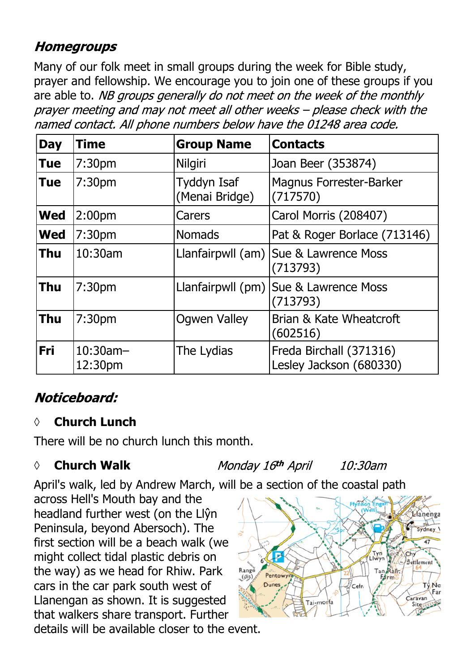## **Homegroups**

Many of our folk meet in small groups during the week for Bible study, prayer and fellowship. We encourage you to join one of these groups if you are able to. NB groups generally do not meet on the week of the monthly prayer meeting and may not meet all other weeks - please check with the named contact. All phone numbers below have the 01248 area code.

| <b>Day</b> | <b>Time</b>            | <b>Group Name</b>             | <b>Contacts</b>                                     |
|------------|------------------------|-------------------------------|-----------------------------------------------------|
| <b>Tue</b> | 7:30 <sub>pm</sub>     | <b>Nilgiri</b>                | Joan Beer (353874)                                  |
| <b>Tue</b> | 7:30 <sub>pm</sub>     | Tyddyn Isaf<br>(Menai Bridge) | <b>Magnus Forrester-Barker</b><br>(717570)          |
| <b>Wed</b> | 2:00 <sub>pm</sub>     | Carers                        | Carol Morris (208407)                               |
| <b>Wed</b> | 7:30 <sub>pm</sub>     | <b>Nomads</b>                 | Pat & Roger Borlace (713146)                        |
| <b>Thu</b> | 10:30am                |                               | Llanfairpwll (am) Sue & Lawrence Moss<br>(713793)   |
| <b>Thu</b> | 7:30 <sub>pm</sub>     |                               | Llanfairpwll (pm)   Sue & Lawrence Moss<br>(713793) |
| <b>Thu</b> | 7:30 <sub>pm</sub>     | <b>Ogwen Valley</b>           | Brian & Kate Wheatcroft<br>(602516)                 |
| Fri        | $10:30$ am-<br>12:30pm | The Lydias                    | Freda Birchall (371316)<br>Lesley Jackson (680330)  |

## Noticeboard:

#### **◊ Church Lunch**

There will be no church lunch this month.

#### *◊* **Church Walk**

Monday 16th April 10:30am

April's walk, led by Andrew March, will be a section of the coastal path

across Hell's Mouth bay and the headland further west (on the Llŷn Peninsula, beyond Abersoch). The first section will be a beach walk (we might collect tidal plastic debris on the way) as we head for Rhiw. Park cars in the car park south west of Llanengan as shown. It is suggested that walkers share transport. Further details will be available closer to the event.